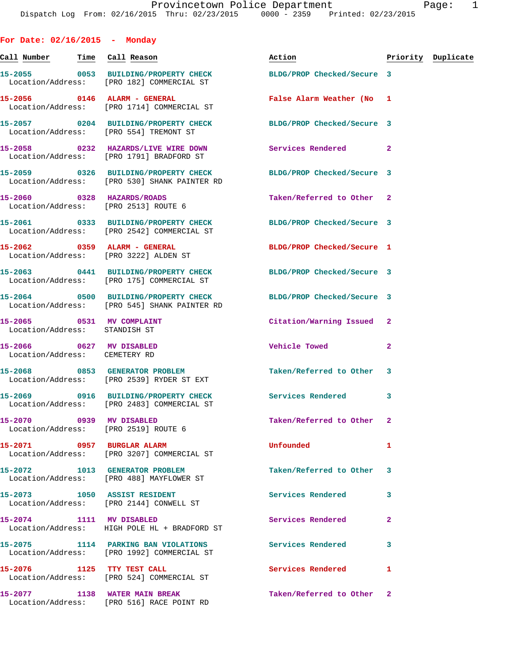**For Date: 02/16/2015 - Monday Call Number Time Call Reason Action Priority Duplicate 15-2055 0053 BUILDING/PROPERTY CHECK BLDG/PROP Checked/Secure 3**  Location/Address: [PRO 182] COMMERCIAL ST **15-2056 0146 ALARM - GENERAL False Alarm Weather (No 1**  Location/Address: [PRO 1714] COMMERCIAL ST **15-2057 0204 BUILDING/PROPERTY CHECK BLDG/PROP Checked/Secure 3**  Location/Address: [PRO 554] TREMONT ST **15-2058 0232 HAZARDS/LIVE WIRE DOWN Services Rendered 2**  Location/Address: [PRO 1791] BRADFORD ST **15-2059 0326 BUILDING/PROPERTY CHECK BLDG/PROP Checked/Secure 3**  Location/Address: [PRO 530] SHANK PAINTER RD **15-2060 0328 HAZARDS/ROADS Taken/Referred to Other 2**  Location/Address: [PRO 2513] ROUTE 6 **15-2061 0333 BUILDING/PROPERTY CHECK BLDG/PROP Checked/Secure 3**  Location/Address: [PRO 2542] COMMERCIAL ST **15-2062 0359 ALARM - GENERAL BLDG/PROP Checked/Secure 1**  Location/Address: [PRO 3222] ALDEN ST **15-2063 0441 BUILDING/PROPERTY CHECK BLDG/PROP Checked/Secure 3**  Location/Address: [PRO 175] COMMERCIAL ST **15-2064 0500 BUILDING/PROPERTY CHECK BLDG/PROP Checked/Secure 3**  Location/Address: [PRO 545] SHANK PAINTER RD **15-2065 0531 MV COMPLAINT Citation/Warning Issued 2**  Location/Address: STANDISH ST **15-2066 0627 MV DISABLED Vehicle Towed 2**  Location/Address: CEMETERY RD **15-2068 0853 GENERATOR PROBLEM Taken/Referred to Other 3**  Location/Address: [PRO 2539] RYDER ST EXT **15-2069 0916 BUILDING/PROPERTY CHECK Services Rendered 3**  Location/Address: [PRO 2483] COMMERCIAL ST **15-2070 0939 MV DISABLED Taken/Referred to Other 2**  Location/Address: [PRO 2519] ROUTE 6 **15-2071 0957 BURGLAR ALARM Unfounded 1**  Location/Address: [PRO 3207] COMMERCIAL ST **15-2072 1013 GENERATOR PROBLEM Taken/Referred to Other 3**  Location/Address: [PRO 488] MAYFLOWER ST **15-2073 1050 ASSIST RESIDENT Services Rendered 3**  Location/Address: [PRO 2144] CONWELL ST **15-2074 1111 MV DISABLED Services Rendered 2**  Location/Address: HIGH POLE HL + BRADFORD ST **15-2075 1114 PARKING BAN VIOLATIONS Services Rendered 3**  Location/Address: [PRO 1992] COMMERCIAL ST 15-2076 1125 TTY TEST CALL **Services Rendered** 1 Location/Address: [PRO 524] COMMERCIAL ST **15-2077 1138 WATER MAIN BREAK Taken/Referred to Other 2**  Location/Address: [PRO 516] RACE POINT RD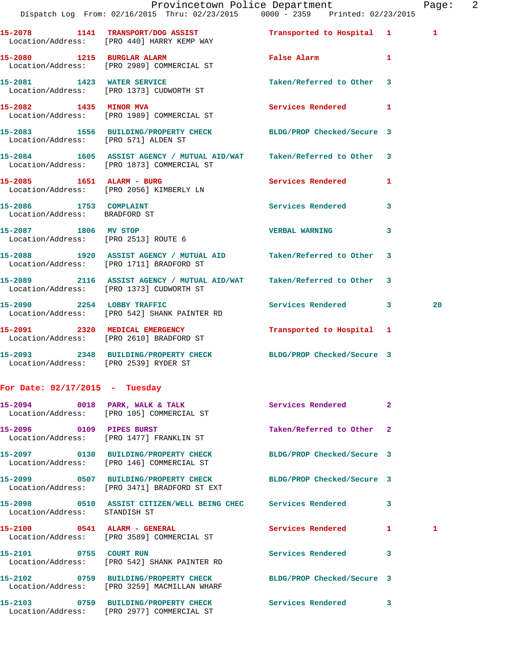|                                                              | Dispatch Log From: 02/16/2015 Thru: 02/23/2015 0000 - 2359 Printed: 02/23/2015                                      | Provincetown Police Department |              | Page: 2 |  |
|--------------------------------------------------------------|---------------------------------------------------------------------------------------------------------------------|--------------------------------|--------------|---------|--|
|                                                              | 15-2078 1141 TRANSPORT/DOG ASSIST <b>Transported to Hospital</b> 1<br>Location/Address: [PRO 440] HARRY KEMP WAY    |                                |              | 1       |  |
|                                                              | 15-2080 1215 BURGLAR ALARM 1 False Alarm 1<br>Location/Address: [PRO 2989] COMMERCIAL ST                            |                                |              |         |  |
|                                                              | 15-2081 1423 WATER SERVICE<br>  Location/Address: [PRO 1373] CUDWORTH ST                                            | Taken/Referred to Other 3      |              |         |  |
| 15-2082 1435 MINOR MVA                                       | Location/Address: [PRO 1989] COMMERCIAL ST                                                                          | Services Rendered 1            |              |         |  |
| Location/Address: [PRO 571] ALDEN ST                         | 15-2083 1556 BUILDING/PROPERTY CHECK BLDG/PROP Checked/Secure 3                                                     |                                |              |         |  |
|                                                              | 15-2084 1605 ASSIST AGENCY / MUTUAL AID/WAT Taken/Referred to Other 3<br>Location/Address: [PRO 1873] COMMERCIAL ST |                                |              |         |  |
|                                                              | 15-2085    1651    ALARM - BURG<br>Location/Address: [PRO 2056] KIMBERLY LN                                         | Services Rendered 1            |              |         |  |
| 15-2086 1753 COMPLAINT<br>Location/Address: BRADFORD ST      |                                                                                                                     | Services Rendered 3            |              |         |  |
| 15-2087 1806 MV STOP<br>Location/Address: [PRO 2513] ROUTE 6 |                                                                                                                     | VERBAL WARNING 3               |              |         |  |
|                                                              | 15-2088 1920 ASSIST AGENCY / MUTUAL AID Taken/Referred to Other 3<br>Location/Address: [PRO 1711] BRADFORD ST       |                                |              |         |  |
|                                                              | 15-2089 2116 ASSIST AGENCY / MUTUAL AID/WAT Taken/Referred to Other 3<br>Location/Address: [PRO 1373] CUDWORTH ST   |                                |              |         |  |
|                                                              | 15-2090 2254 LOBBY TRAFFIC<br>Location/Address: [PRO 542] SHANK PAINTER RD                                          | Services Rendered 3            |              | 20      |  |
|                                                              | 15-2091 2320 MEDICAL EMERGENCY<br>Location/Address: [PRO 2610] BRADFORD ST                                          | Transported to Hospital 1      |              |         |  |
| Location/Address: [PRO 2539] RYDER ST                        | 15-2093 2348 BUILDING/PROPERTY CHECK BLDG/PROP Checked/Secure 3                                                     |                                |              |         |  |
| For Date: $02/17/2015$ - Tuesday                             |                                                                                                                     |                                |              |         |  |
|                                                              | 15-2094 0018 PARK, WALK & TALK<br>Location/Address: [PRO 105] COMMERCIAL ST                                         | Services Rendered              | $\mathbf{2}$ |         |  |
| 15-2096 0109 PIPES BURST                                     | Location/Address: [PRO 1477] FRANKLIN ST                                                                            | Taken/Referred to Other 2      |              |         |  |
|                                                              | 15-2097 0130 BUILDING/PROPERTY CHECK<br>Location/Address: [PRO 146] COMMERCIAL ST                                   | BLDG/PROP Checked/Secure 3     |              |         |  |
|                                                              | 15-2099 0507 BUILDING/PROPERTY CHECK BLDG/PROP Checked/Secure 3<br>Location/Address: [PRO 3471] BRADFORD ST EXT     |                                |              |         |  |
| Location/Address: STANDISH ST                                | 15-2098 0510 ASSIST CITIZEN/WELL BEING CHEC Services Rendered 3                                                     |                                |              |         |  |
|                                                              | 15-2100 0541 ALARM - GENERAL<br>Location/Address: [PRO 3589] COMMERCIAL ST                                          | Services Rendered 1            |              | 1       |  |
|                                                              | 15-2101 0755 COURT RUN<br>Location/Address: [PRO 542] SHANK PAINTER RD                                              | <b>Services Rendered</b>       | 3            |         |  |
|                                                              | 15-2102 0759 BUILDING/PROPERTY CHECK<br>Location/Address: [PRO 3259] MACMILLAN WHARF                                | BLDG/PROP Checked/Secure 3     |              |         |  |
|                                                              | 15-2103 0759 BUILDING/PROPERTY CHECK<br>Location/Address: [PRO 2977] COMMERCIAL ST                                  | Services Rendered 3            |              |         |  |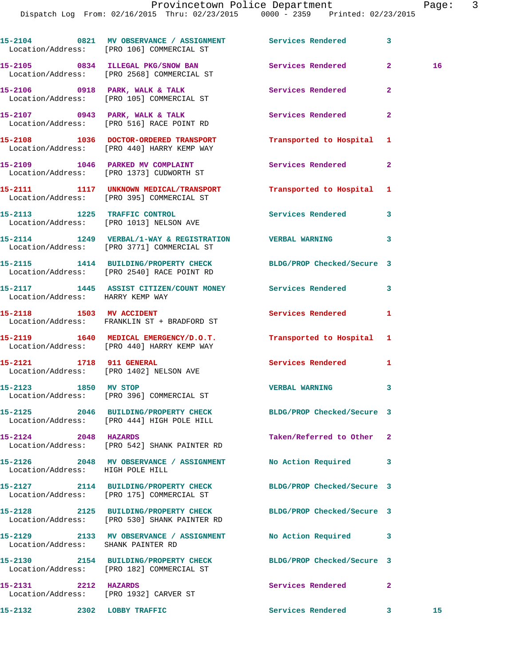**15-2104 0821 MV OBSERVANCE / ASSIGNMENT Services Rendered 3**  Location/Address: [PRO 106] COMMERCIAL ST **15-2105 0834 ILLEGAL PKG/SNOW BAN Services Rendered 2 16**  Location/Address: [PRO 2568] COMMERCIAL ST **15-2106 0918 PARK, WALK & TALK Services Rendered 2**  Location/Address: [PRO 105] COMMERCIAL ST 15-2107 **0943 PARK, WALK & TALK Services Rendered** 2 Location/Address: [PRO 516] RACE POINT RD **15-2108 1036 DOCTOR-ORDERED TRANSPORT Transported to Hospital 1**  Location/Address: [PRO 440] HARRY KEMP WAY 15-2109 1046 PARKED MV COMPLAINT **Services Rendered** 2 Location/Address: [PRO 1373] CUDWORTH ST **15-2111 1117 UNKNOWN MEDICAL/TRANSPORT Transported to Hospital 1**  Location/Address: [PRO 395] COMMERCIAL ST **15-2113 1225 TRAFFIC CONTROL Services Rendered 3**  Location/Address: [PRO 1013] NELSON AVE **15-2114 1249 VERBAL/1-WAY & REGISTRATION VERBAL WARNING 3**  Location/Address: [PRO 3771] COMMERCIAL ST **15-2115 1414 BUILDING/PROPERTY CHECK BLDG/PROP Checked/Secure 3**  Location/Address: [PRO 2540] RACE POINT RD **15-2117 1445 ASSIST CITIZEN/COUNT MONEY Services Rendered 3**  Location/Address: HARRY KEMP WAY **15-2118 1503 MV ACCIDENT Services Rendered 1**  Location/Address: FRANKLIN ST + BRADFORD ST **15-2119 1640 MEDICAL EMERGENCY/D.O.T. Transported to Hospital 1**  Location/Address: [PRO 440] HARRY KEMP WAY **15-2121 1718 911 GENERAL Services Rendered 1**  Location/Address: [PRO 1402] NELSON AVE **15-2123 1850 MV STOP VERBAL WARNING 3**  Location/Address: [PRO 396] COMMERCIAL ST **15-2125 2046 BUILDING/PROPERTY CHECK BLDG/PROP Checked/Secure 3**  Location/Address: [PRO 444] HIGH POLE HILL **15-2124 2048 HAZARDS Taken/Referred to Other 2**  Location/Address: [PRO 542] SHANK PAINTER RD **15-2126 2048 MV OBSERVANCE / ASSIGNMENT No Action Required 3**  Location/Address: HIGH POLE HILL **15-2127 2114 BUILDING/PROPERTY CHECK BLDG/PROP Checked/Secure 3**  Location/Address: [PRO 175] COMMERCIAL ST **15-2128 2125 BUILDING/PROPERTY CHECK BLDG/PROP Checked/Secure 3**  Location/Address: [PRO 530] SHANK PAINTER RD **15-2129 2133 MV OBSERVANCE / ASSIGNMENT No Action Required 3**  Location/Address: SHANK PAINTER RD **15-2130 2154 BUILDING/PROPERTY CHECK BLDG/PROP Checked/Secure 3**  Location/Address: [PRO 182] COMMERCIAL ST **15-2131 2212 HAZARDS Services Rendered 2**  Location/Address: [PRO 1932] CARVER ST

**15-2132 2302 LOBBY TRAFFIC Services Rendered 3 15**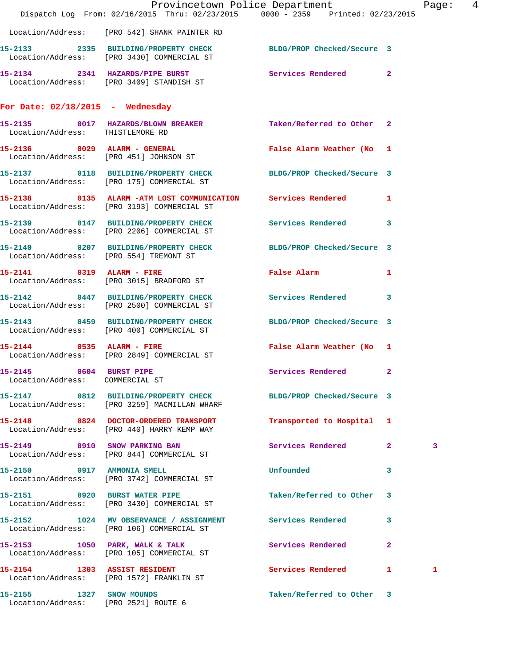|                                                                  | Dispatch Log From: 02/16/2015 Thru: 02/23/2015 0000 - 2359 Printed: 02/23/2015                                  | Provincetown Police Department |                | Page: 4 |  |
|------------------------------------------------------------------|-----------------------------------------------------------------------------------------------------------------|--------------------------------|----------------|---------|--|
|                                                                  | Location/Address: [PRO 542] SHANK PAINTER RD                                                                    |                                |                |         |  |
|                                                                  | 15-2133 2335 BUILDING/PROPERTY CHECK BLDG/PROP Checked/Secure 3<br>Location/Address: [PRO 3430] COMMERCIAL ST   |                                |                |         |  |
|                                                                  | 15-2134 2341 HAZARDS/PIPE BURST Services Rendered 2<br>Location/Address: [PRO 3409] STANDISH ST                 |                                |                |         |  |
| For Date: $02/18/2015$ - Wednesday                               |                                                                                                                 |                                |                |         |  |
| Location/Address: THISTLEMORE RD                                 | 15-2135 0017 HAZARDS/BLOWN BREAKER Taken/Referred to Other 2                                                    |                                |                |         |  |
|                                                                  | $15-2136$ 0029 ALARM - GENERAL<br>Location/Address: [PRO 451] JOHNSON ST                                        | False Alarm Weather (No 1      |                |         |  |
|                                                                  |                                                                                                                 |                                |                |         |  |
|                                                                  | Location/Address: [PRO 3193] COMMERCIAL ST                                                                      |                                |                |         |  |
|                                                                  | 15-2139 		 0147 BUILDING/PROPERTY CHECK Services Rendered 3<br>Location/Address: [PRO 2206] COMMERCIAL ST       |                                |                |         |  |
| Location/Address: [PRO 554] TREMONT ST                           | 15-2140 0207 BUILDING/PROPERTY CHECK BLDG/PROP Checked/Secure 3                                                 |                                |                |         |  |
|                                                                  | 15-2141 0319 ALARM - FIRE<br>Location/Address: [PRO 3015] BRADFORD ST                                           | False Alarm <b>Example 2</b>   | $\blacksquare$ |         |  |
|                                                                  | 15-2142 0447 BUILDING/PROPERTY CHECK Services Rendered 3<br>Location/Address: [PRO 2500] COMMERCIAL ST          |                                |                |         |  |
|                                                                  | 15-2143 0459 BUILDING/PROPERTY CHECK BLDG/PROP Checked/Secure 3<br>Location/Address: [PRO 400] COMMERCIAL ST    |                                |                |         |  |
|                                                                  | 15-2144 0535 ALARM - FIRE<br>Location/Address: [PRO 2849] COMMERCIAL ST                                         | False Alarm Weather (No 1      |                |         |  |
| 15-2145 0604 BURST PIPE<br>Location/Address: COMMERCIAL ST       |                                                                                                                 | Services Rendered 2            |                |         |  |
|                                                                  | 15-2147 0812 BUILDING/PROPERTY CHECK BLDG/PROP Checked/Secure 3<br>Location/Address: [PRO 3259] MACMILLAN WHARF |                                |                |         |  |
|                                                                  | 15-2148 0824 DOCTOR-ORDERED TRANSPORT<br>Location/Address: [PRO 440] HARRY KEMP WAY                             | Transported to Hospital 1      |                |         |  |
|                                                                  | 15-2149 0910 SNOW PARKING BAN<br>Location/Address: [PRO 844] COMMERCIAL ST                                      | Services Rendered 2            |                | 3       |  |
|                                                                  | 15-2150 0917 AMMONIA SMELL<br>Location/Address: [PRO 3742] COMMERCIAL ST                                        | Unfounded                      | 3              |         |  |
|                                                                  | 15-2151 0920 BURST WATER PIPE<br>Location/Address: [PRO 3430] COMMERCIAL ST                                     | Taken/Referred to Other 3      |                |         |  |
|                                                                  | 15-2152 1024 MV OBSERVANCE / ASSIGNMENT Services Rendered 3<br>Location/Address: [PRO 106] COMMERCIAL ST        |                                |                |         |  |
|                                                                  | 15-2153 1050 PARK, WALK & TALK<br>Location/Address: [PRO 105] COMMERCIAL ST                                     | Services Rendered              | $\mathbf{2}$   |         |  |
|                                                                  | 15-2154 1303 ASSIST RESIDENT<br>Location/Address: [PRO 1572] FRANKLIN ST                                        | Services Rendered 1            |                | 1       |  |
| 15-2155 1327 SNOW MOUNDS<br>Location/Address: [PRO 2521] ROUTE 6 |                                                                                                                 | Taken/Referred to Other 3      |                |         |  |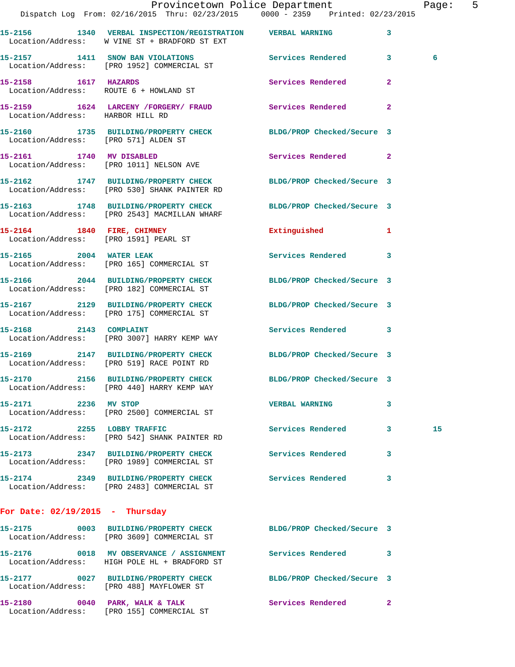|                                      | Dispatch Log From: 02/16/2015 Thru: 02/23/2015 0000 - 2359 Printed: 02/23/2015                                     | Provincetown Police Department |                         | Page: 5 |  |
|--------------------------------------|--------------------------------------------------------------------------------------------------------------------|--------------------------------|-------------------------|---------|--|
|                                      | 15-2156 1340 VERBAL INSPECTION/REGISTRATION VERBAL WARNING                                                         |                                | $\overline{\mathbf{3}}$ |         |  |
|                                      | Location/Address: W VINE ST + BRADFORD ST EXT                                                                      |                                |                         |         |  |
|                                      | 15-2157 1411 SNOW BAN VIOLATIONS Services Rendered 3<br>Location/Address: [PRO 1952] COMMERCIAL ST                 |                                |                         | -6      |  |
|                                      | 15-2158 1617 HAZARDS<br>Location/Address: ROUTE 6 + HOWLAND ST                                                     | Services Rendered 2            |                         |         |  |
| Location/Address: HARBOR HILL RD     | 15-2159 1624 LARCENY /FORGERY/ FRAUD Services Rendered 2                                                           |                                |                         |         |  |
| Location/Address: [PRO 571] ALDEN ST | 15-2160 1735 BUILDING/PROPERTY CHECK BLDG/PROP Checked/Secure 3                                                    |                                |                         |         |  |
|                                      | 15-2161 1740 MV DISABLED<br>Location/Address: [PRO 1011] NELSON AVE                                                | Services Rendered 2            |                         |         |  |
|                                      | 15-2162 1747 BUILDING/PROPERTY CHECK BLDG/PROP Checked/Secure 3<br>Location/Address: [PRO 530] SHANK PAINTER RD    |                                |                         |         |  |
|                                      | 15-2163 1748 BUILDING/PROPERTY CHECK BLDG/PROP Checked/Secure 3<br>Location/Address: [PRO 2543] MACMILLAN WHARF    |                                |                         |         |  |
|                                      | 15-2164 1840 FIRE, CHIMNEY<br>Location/Address: [PRO 1591] PEARL ST                                                | Extinguished 1                 |                         |         |  |
|                                      | 15-2165 2004 WATER LEAK<br>Location/Address: [PRO 165] COMMERCIAL ST                                               | Services Rendered 3            |                         |         |  |
|                                      | 15-2166 2044 BUILDING/PROPERTY CHECK BLDG/PROP Checked/Secure 3<br>Location/Address: [PRO 182] COMMERCIAL ST       |                                |                         |         |  |
|                                      | 15-2167   2129   BUILDING/PROPERTY CHECK   BLDG/PROP Checked/Secure 3<br>Location/Address: [PRO 175] COMMERCIAL ST |                                |                         |         |  |
| 15-2168 2143 COMPLAINT               | Location/Address: [PRO 3007] HARRY KEMP WAY                                                                        | Services Rendered 3            |                         |         |  |
|                                      | 15-2169 2147 BUILDING/PROPERTY CHECK BLDG/PROP Checked/Secure 3<br>Location/Address: [PRO 519] RACE POINT RD       |                                |                         |         |  |
|                                      | 15-2170 2156 BUILDING/PROPERTY CHECK<br>Location/Address: [PRO 440] HARRY KEMP WAY                                 | BLDG/PROP Checked/Secure 3     |                         |         |  |
| 15-2171 2236 MV STOP                 | Location/Address: [PRO 2500] COMMERCIAL ST                                                                         | <b>VERBAL WARNING</b>          | $\mathbf{3}$            |         |  |
| 15-2172 2255 LOBBY TRAFFIC           | Location/Address: [PRO 542] SHANK PAINTER RD                                                                       | Services Rendered 3            |                         | 15      |  |
|                                      | 15-2173 2347 BUILDING/PROPERTY CHECK<br>Location/Address: [PRO 1989] COMMERCIAL ST                                 | <b>Services Rendered</b>       | $\mathbf{3}$            |         |  |
|                                      | 15-2174 2349 BUILDING/PROPERTY CHECK Services Rendered 3<br>Location/Address: [PRO 2483] COMMERCIAL ST             |                                |                         |         |  |
| For Date: $02/19/2015$ - Thursday    |                                                                                                                    |                                |                         |         |  |
|                                      | 15-2175 0003 BUILDING/PROPERTY CHECK BLDG/PROP Checked/Secure 3<br>Location/Address: [PRO 3609] COMMERCIAL ST      |                                |                         |         |  |
|                                      | 15-2176 0018 MV OBSERVANCE / ASSIGNMENT<br>Location/Address: HIGH POLE HL + BRADFORD ST                            | Services Rendered 3            |                         |         |  |
|                                      | 15-2177 0027 BUILDING/PROPERTY CHECK BLDG/PROP Checked/Secure 3<br>Location/Address: [PRO 488] MAYFLOWER ST        |                                |                         |         |  |
|                                      | 15-2180 0040 PARK, WALK & TALK Services Rendered 2<br>Location/Address: [PRO 155] COMMERCIAL ST                    |                                |                         |         |  |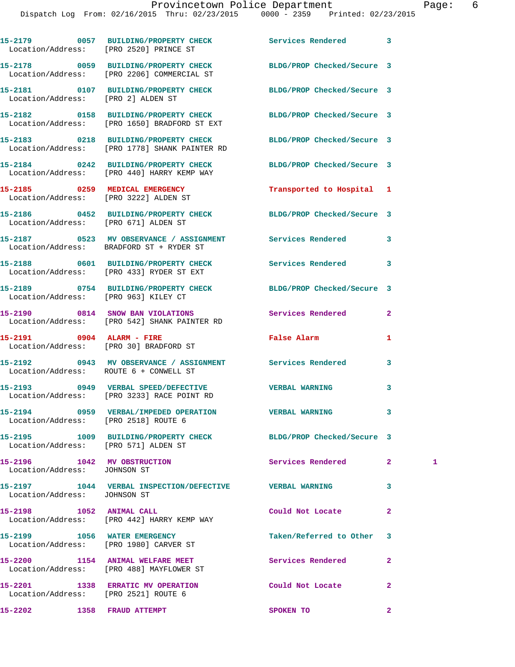|                                                             | 15-2179 0057 BUILDING/PROPERTY CHECK Services Rendered<br>Location/Address: [PRO 2520] PRINCE ST              |                            | 3              |   |
|-------------------------------------------------------------|---------------------------------------------------------------------------------------------------------------|----------------------------|----------------|---|
|                                                             | 15-2178 0059 BUILDING/PROPERTY CHECK BLDG/PROP Checked/Secure 3<br>Location/Address: [PRO 2206] COMMERCIAL ST |                            |                |   |
| Location/Address: [PRO 2] ALDEN ST                          | 15-2181 0107 BUILDING/PROPERTY CHECK BLDG/PROP Checked/Secure 3                                               |                            |                |   |
|                                                             | 15-2182 0158 BUILDING/PROPERTY CHECK<br>Location/Address: [PRO 1650] BRADFORD ST EXT                          | BLDG/PROP Checked/Secure 3 |                |   |
|                                                             | 15-2183 0218 BUILDING/PROPERTY CHECK<br>Location/Address: [PRO 1778] SHANK PAINTER RD                         | BLDG/PROP Checked/Secure 3 |                |   |
|                                                             | 15-2184 0242 BUILDING/PROPERTY CHECK<br>Location/Address: [PRO 440] HARRY KEMP WAY                            | BLDG/PROP Checked/Secure 3 |                |   |
|                                                             | 15-2185 0259 MEDICAL EMERGENCY<br>Location/Address: [PRO 3222] ALDEN ST                                       | Transported to Hospital 1  |                |   |
| Location/Address: [PRO 671] ALDEN ST                        | 15-2186 0452 BUILDING/PROPERTY CHECK BLDG/PROP Checked/Secure 3                                               |                            |                |   |
|                                                             | 15-2187 		 0523 MV OBSERVANCE / ASSIGNMENT Services Rendered<br>Location/Address: BRADFORD ST + RYDER ST      |                            | 3              |   |
|                                                             | 15-2188 0601 BUILDING/PROPERTY CHECK<br>Location/Address: [PRO 433] RYDER ST EXT                              | <b>Services Rendered</b>   | 3              |   |
| Location/Address: [PRO 963] KILEY CT                        | 15-2189 0754 BUILDING/PROPERTY CHECK BLDG/PROP Checked/Secure 3                                               |                            |                |   |
|                                                             | 15-2190 0814 SNOW BAN VIOLATIONS<br>Location/Address: [PRO 542] SHANK PAINTER RD                              | Services Rendered          | 2              |   |
| 15-2191 0904 ALARM - FIRE                                   | Location/Address: [PRO 30] BRADFORD ST                                                                        | False Alarm                | 1              |   |
|                                                             | 15-2192 		 0943 MV OBSERVANCE / ASSIGNMENT Services Rendered<br>Location/Address: ROUTE 6 + CONWELL ST        |                            | 3              |   |
|                                                             | Location/Address: [PRO 3233] RACE POINT RD                                                                    |                            | 3              |   |
| Location/Address: [PRO 2518] ROUTE 6                        | 15-2194 0959 VERBAL/IMPEDED OPERATION                                                                         | <b>VERBAL WARNING</b>      | 3              |   |
| Location/Address: [PRO 571] ALDEN ST                        | 15-2195 1009 BUILDING/PROPERTY CHECK BLDG/PROP Checked/Secure 3                                               |                            |                |   |
| 15-2196 1042 MV OBSTRUCTION<br>Location/Address: JOHNSON ST |                                                                                                               | Services Rendered          | $\mathbf{2}$   | 1 |
| Location/Address: JOHNSON ST                                | 15-2197 1044 VERBAL INSPECTION/DEFECTIVE VERBAL WARNING                                                       |                            | 3              |   |
|                                                             | 15-2198 1052 ANIMAL CALL<br>Location/Address: [PRO 442] HARRY KEMP WAY                                        | Could Not Locate           | $\mathbf{2}$   |   |
|                                                             | 15-2199 1056 WATER EMERGENCY<br>Location/Address: [PRO 1980] CARVER ST                                        | Taken/Referred to Other    | 3              |   |
|                                                             | 15-2200 1154 ANIMAL WELFARE MEET<br>Location/Address: [PRO 488] MAYFLOWER ST                                  | Services Rendered          | $\overline{a}$ |   |
| Location/Address: [PRO 2521] ROUTE 6                        | 15-2201 1338 ERRATIC MV OPERATION Could Not Locate                                                            |                            | $\mathbf{2}$   |   |
| 15-2202 1358 FRAUD ATTEMPT                                  |                                                                                                               | SPOKEN TO                  | $\mathbf{2}$   |   |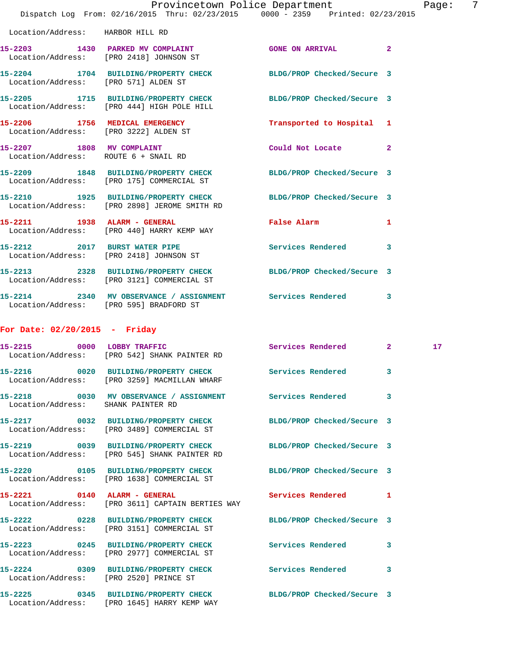|                                      | Provincetown Police Department<br>Dispatch Log From: 02/16/2015 Thru: 02/23/2015 0000 - 2359 Printed: 02/23/2015 |                           |              | Page:           | -7 |
|--------------------------------------|------------------------------------------------------------------------------------------------------------------|---------------------------|--------------|-----------------|----|
| Location/Address: HARBOR HILL RD     |                                                                                                                  |                           |              |                 |    |
|                                      | 15-2203 1430 PARKED MV COMPLAINT GONE ON ARRIVAL 2<br>Location/Address: [PRO 2418] JOHNSON ST                    |                           |              |                 |    |
| Location/Address: [PRO 571] ALDEN ST | 15-2204 1704 BUILDING/PROPERTY CHECK BLDG/PROP Checked/Secure 3                                                  |                           |              |                 |    |
|                                      | 15-2205 1715 BUILDING/PROPERTY CHECK BLDG/PROP Checked/Secure 3<br>Location/Address: [PRO 444] HIGH POLE HILL    |                           |              |                 |    |
|                                      | 15-2206 1756 MEDICAL EMERGENCY<br>Location/Address: [PRO 3222] ALDEN ST                                          | Transported to Hospital 1 |              |                 |    |
| 15-2207 1808 MV COMPLAINT            | Location/Address: ROUTE 6 + SNAIL RD                                                                             | Could Not Locate 2        |              |                 |    |
|                                      | 15-2209 1848 BUILDING/PROPERTY CHECK BLDG/PROP Checked/Secure 3<br>Location/Address: [PRO 175] COMMERCIAL ST     |                           |              |                 |    |
|                                      | 15-2210 1925 BUILDING/PROPERTY CHECK BLDG/PROP Checked/Secure 3<br>Location/Address: [PRO 2898] JEROME SMITH RD  |                           |              |                 |    |
|                                      | 15-2211 1938 ALARM - GENERAL<br>Location/Address: [PRO 440] HARRY KEMP WAY                                       | False Alarm               | $\mathbf{1}$ |                 |    |
|                                      | 15-2212 2017 BURST WATER PIPE Services Rendered 3<br>Location/Address: [PRO 2418] JOHNSON ST                     |                           |              |                 |    |
|                                      | 15-2213 2328 BUILDING/PROPERTY CHECK BLDG/PROP Checked/Secure 3<br>Location/Address: [PRO 3121] COMMERCIAL ST    |                           |              |                 |    |
|                                      | 15-2214 2340 MV OBSERVANCE / ASSIGNMENT Services Rendered 3<br>Location/Address: [PRO 595] BRADFORD ST           |                           |              |                 |    |
| For Date: $02/20/2015$ - Friday      |                                                                                                                  |                           |              |                 |    |
| 15-2215 0000 LOBBY TRAFFIC           | Location/Address: [PRO 542] SHANK PAINTER RD                                                                     | Services Rendered 2       |              | 17 <sub>2</sub> |    |
| 15-2216                              | 0020 BUILDING/PROPERTY CHECK<br>Location/Address: [PRO 3259] MACMILLAN WHARF                                     | Services Rendered         | 3            |                 |    |
| Location/Address: SHANK PAINTER RD   | 15-2218 0030 MV OBSERVANCE / ASSIGNMENT Services Rendered                                                        |                           | 3            |                 |    |
|                                      | 15-2217 0032 BUILDING/PROPERTY CHECK BLDG/PROP Checked/Secure 3<br>Location/Address: [PRO 3489] COMMERCIAL ST    |                           |              |                 |    |
|                                      | 15-2219 0039 BUILDING/PROPERTY CHECK BLDG/PROP Checked/Secure 3<br>Location/Address: [PRO 545] SHANK PAINTER RD  |                           |              |                 |    |
|                                      | 15-2220 0105 BUILDING/PROPERTY CHECK BLDG/PROP Checked/Secure 3<br>Location/Address: [PRO 1638] COMMERCIAL ST    |                           |              |                 |    |
|                                      | 15-2221 0140 ALARM - GENERAL<br>Location/Address: [PRO 3611] CAPTAIN BERTIES WAY                                 | Services Rendered 1       |              |                 |    |
|                                      | 15-2222 0228 BUILDING/PROPERTY CHECK BLDG/PROP Checked/Secure 3<br>Location/Address: [PRO 3151] COMMERCIAL ST    |                           |              |                 |    |
|                                      | 15-2223 0245 BUILDING/PROPERTY CHECK Services Rendered 3<br>Location/Address: [PRO 2977] COMMERCIAL ST           |                           |              |                 |    |
|                                      | 15-2224 0309 BUILDING/PROPERTY CHECK Services Rendered<br>Location/Address: [PRO 2520] PRINCE ST                 |                           | 3            |                 |    |
|                                      | 15-2225 0345 BUILDING/PROPERTY CHECK BLDG/PROP Checked/Secure 3<br>Location/Address: [PRO 1645] HARRY KEMP WAY   |                           |              |                 |    |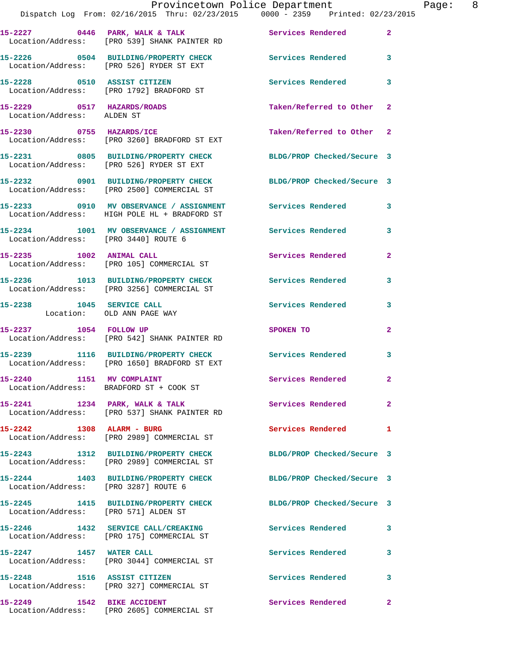|                                                          | Provincetown Police Department<br>Dispatch Log From: 02/16/2015 Thru: 02/23/2015 0000 - 2359 Printed: 02/23/2015       |                            |                |
|----------------------------------------------------------|------------------------------------------------------------------------------------------------------------------------|----------------------------|----------------|
|                                                          | 15-2227 0446 PARK, WALK & TALK (Services Rendered Location/Address: [PRO 539] SHANK PAINTER RD                         |                            | $\overline{2}$ |
|                                                          | 15-2226 0504 BUILDING/PROPERTY CHECK<br>Location/Address: [PRO 526] RYDER ST EXT                                       | Services Rendered 3        |                |
|                                                          | 15-2228 0510 ASSIST CITIZEN<br>Location/Address: [PRO 1792] BRADFORD ST                                                | Services Rendered          | $\mathbf{3}$   |
| 15-2229 0517 HAZARDS/ROADS<br>Location/Address: ALDEN ST |                                                                                                                        | Taken/Referred to Other 2  |                |
|                                                          | 15-2230 0755 HAZARDS/ICE<br>Location/Address: [PRO 3260] BRADFORD ST EXT                                               | Taken/Referred to Other 2  |                |
|                                                          | 15-2231 0805 BUILDING/PROPERTY CHECK BLDG/PROP Checked/Secure 3<br>Location/Address: [PRO 526] RYDER ST EXT            |                            |                |
|                                                          | 15-2232 0901 BUILDING/PROPERTY CHECK<br>Location/Address: [PRO 2500] COMMERCIAL ST                                     | BLDG/PROP Checked/Secure 3 |                |
|                                                          | 15-2233     0910   MV OBSERVANCE / ASSIGNMENT      Services Rendered<br>Location/Address:   HIGH POLE HL + BRADFORD ST |                            | 3              |
| Location/Address: [PRO 3440] ROUTE 6                     | 15-2234 1001 MV OBSERVANCE / ASSIGNMENT Services Rendered                                                              |                            | 3              |
|                                                          | 15-2235 1002 ANIMAL CALL<br>Location/Address: [PRO 105] COMMERCIAL ST                                                  | Services Rendered          | $\mathbf{2}$   |
|                                                          | 15-2236 1013 BUILDING/PROPERTY CHECK<br>Location/Address: [PRO 3256] COMMERCIAL ST                                     | Services Rendered          | $\mathbf{3}$   |
| 15-2238 1045 SERVICE CALL<br>Location: OLD ANN PAGE WAY  |                                                                                                                        | Services Rendered          | 3              |
| 15-2237 1054 FOLLOW UP                                   | Location/Address: [PRO 542] SHANK PAINTER RD                                                                           | SPOKEN TO                  | $\overline{2}$ |
|                                                          | 15-2239 1116 BUILDING/PROPERTY CHECK Services Rendered<br>Location/Address: [PRO 1650] BRADFORD ST EXT                 |                            | 3              |
| 15-2240<br>1151 MV COMPLAINT                             | Location/Address: BRADFORD ST + COOK ST                                                                                | Services Rendered          | $\overline{a}$ |
|                                                          | 15-2241 1234 PARK, WALK & TALK<br>Location/Address: [PRO 537] SHANK PAINTER RD                                         | Services Rendered 2        |                |
| 15-2242 1308 ALARM - BURG                                | Location/Address: [PRO 2989] COMMERCIAL ST                                                                             | Services Rendered          | 1              |
|                                                          | 15-2243 1312 BUILDING/PROPERTY CHECK<br>Location/Address: [PRO 2989] COMMERCIAL ST                                     | BLDG/PROP Checked/Secure 3 |                |
| Location/Address: [PRO 3287] ROUTE 6                     | 15-2244 1403 BUILDING/PROPERTY CHECK                                                                                   | BLDG/PROP Checked/Secure 3 |                |
| Location/Address: [PRO 571] ALDEN ST                     | 15-2245 1415 BUILDING/PROPERTY CHECK                                                                                   | BLDG/PROP Checked/Secure 3 |                |
|                                                          | 15-2246 1432 SERVICE CALL/CREAKING<br>Location/Address: [PRO 175] COMMERCIAL ST                                        | <b>Services Rendered</b>   | 3              |
| 15-2247 1457 WATER CALL                                  | Location/Address: [PRO 3044] COMMERCIAL ST                                                                             | Services Rendered          | 3              |
| 15-2248 1516 ASSIST CITIZEN                              | Location/Address: [PRO 327] COMMERCIAL ST                                                                              | Services Rendered 3        |                |
| 15-2249 1542 BIKE ACCIDENT                               |                                                                                                                        | Services Rendered          | $\mathbf{2}$   |

Location/Address: [PRO 2605] COMMERCIAL ST

Page: 8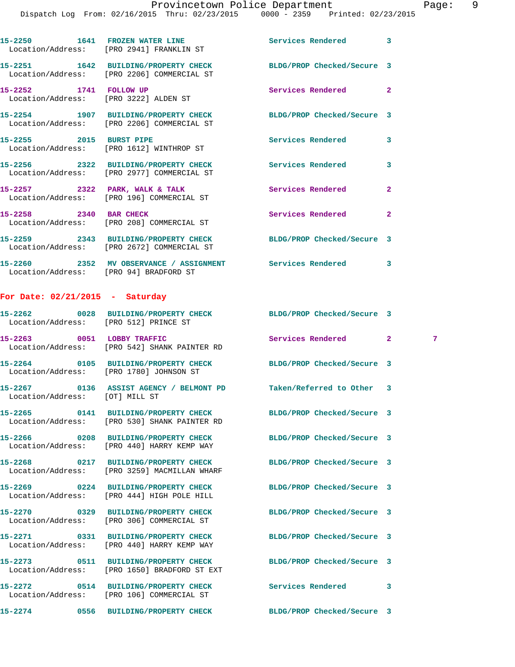Dispatch Log From: 02/16/2015 Thru: 02/23/2015 0000 - 2359 Printed: 02/23/2015

| 15-2250<br>Location/Address: | 1641 | FROZEN WATER LINE<br>[PRO 2941] FRANKLIN ST                   | Services Rendered          | 3 |
|------------------------------|------|---------------------------------------------------------------|----------------------------|---|
| 15-2251<br>Location/Address: | 1642 | BUILDING/PROPERTY CHECK<br>[PRO 2206] COMMERCIAL ST           | BLDG/PROP Checked/Secure 3 |   |
| 15-2252<br>Location/Address: | 1741 | <b>FOLLOW UP</b><br>[PRO 3222] ALDEN ST                       | Services Rendered          | 2 |
| 15-2254<br>Location/Address: | 1907 | <b>BUILDING/PROPERTY CHECK</b><br>[PRO 2206] COMMERCIAL ST    | BLDG/PROP Checked/Secure 3 |   |
| 15-2255                      | 2015 | <b>BURST PIPE</b><br>Location/Address: [PRO 1612] WINTHROP ST | Services Rendered          | 3 |

**15-2256 2322 BUILDING/PROPERTY CHECK Services Rendered 3**  Location/Address: [PRO 2977] COMMERCIAL ST **15-2257 2322 PARK, WALK & TALK Services Rendered 2**  Location/Address: [PRO 196] COMMERCIAL ST **15-2258 2340 BAR CHECK Services Rendered 2**  Location/Address: [PRO 208] COMMERCIAL ST

**15-2259 2343 BUILDING/PROPERTY CHECK BLDG/PROP Checked/Secure 3**  Location/Address: [PRO 2672] COMMERCIAL ST **15-2260 2352 MV OBSERVANCE / ASSIGNMENT Services Rendered 3**  Location/Address: [PRO 94] BRADFORD ST

## **For Date: 02/21/2015 - Saturday**

| Location/Address: [PRO 512] PRINCE ST | 15-2262 0028 BUILDING/PROPERTY CHECK BLDG/PROP Checked/Secure 3                      |                            |                |                 |
|---------------------------------------|--------------------------------------------------------------------------------------|----------------------------|----------------|-----------------|
| 15-2263 0051 LOBBY TRAFFIC            | Location/Address: [PRO 542] SHANK PAINTER RD                                         | Services Rendered          | $\overline{2}$ | $7\phantom{.0}$ |
|                                       | 15-2264 0105 BUILDING/PROPERTY CHECK<br>Location/Address: [PRO 1780] JOHNSON ST      | BLDG/PROP Checked/Secure 3 |                |                 |
| Location/Address: [OT] MILL ST        | 15-2267 0136 ASSIST AGENCY / BELMONT PD                                              | Taken/Referred to Other 3  |                |                 |
|                                       | 15-2265 0141 BUILDING/PROPERTY CHECK<br>Location/Address: [PRO 530] SHANK PAINTER RD | BLDG/PROP Checked/Secure 3 |                |                 |
|                                       | 15-2266  0208 BUILDING/PROPERTY CHECK<br>Location/Address: [PRO 440] HARRY KEMP WAY  | BLDG/PROP Checked/Secure 3 |                |                 |
|                                       | 15-2268 0217 BUILDING/PROPERTY CHECK<br>Location/Address: [PRO 3259] MACMILLAN WHARF | BLDG/PROP Checked/Secure 3 |                |                 |
|                                       | 15-2269 0224 BUILDING/PROPERTY CHECK<br>Location/Address: [PRO 444] HIGH POLE HILL   | BLDG/PROP Checked/Secure 3 |                |                 |
|                                       | Location/Address: [PRO 306] COMMERCIAL ST                                            | BLDG/PROP Checked/Secure 3 |                |                 |
|                                       | 15-2271 0331 BUILDING/PROPERTY CHECK<br>Location/Address: [PRO 440] HARRY KEMP WAY   | BLDG/PROP Checked/Secure 3 |                |                 |
|                                       | 15-2273 0511 BUILDING/PROPERTY CHECK<br>Location/Address: [PRO 1650] BRADFORD ST EXT | BLDG/PROP Checked/Secure 3 |                |                 |
|                                       | Location/Address: [PRO 106] COMMERCIAL ST                                            | <b>Services Rendered</b>   | 3              |                 |
|                                       | 15-2274 0556 BUILDING/PROPERTY CHECK BLDG/PROP Checked/Secure 3                      |                            |                |                 |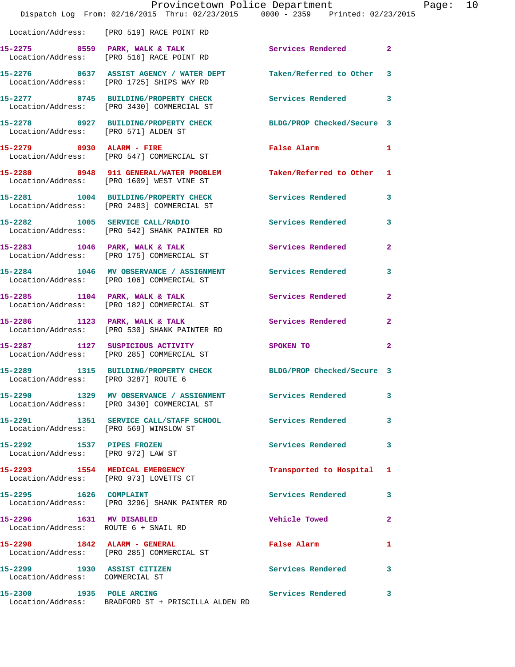|                                                                          | Provincetown Police Department<br>Dispatch Log From: 02/16/2015 Thru: 02/23/2015 0000 - 2359 Printed: 02/23/2015 |                            |                |
|--------------------------------------------------------------------------|------------------------------------------------------------------------------------------------------------------|----------------------------|----------------|
|                                                                          | Location/Address: [PRO 519] RACE POINT RD                                                                        |                            |                |
|                                                                          | 15-2275 0559 PARK, WALK & TALK Services Rendered<br>Location/Address: [PRO 516] RACE POINT RD                    |                            | $\overline{2}$ |
|                                                                          | 15-2276 0637 ASSIST AGENCY / WATER DEPT Taken/Referred to Other 3<br>Location/Address: [PRO 1725] SHIPS WAY RD   |                            |                |
|                                                                          | 15-2277 0745 BUILDING/PROPERTY CHECK<br>Location/Address: [PRO 3430] COMMERCIAL ST                               | Services Rendered          | 3              |
| Location/Address: [PRO 571] ALDEN ST                                     | 15-2278 0927 BUILDING/PROPERTY CHECK BLDG/PROP Checked/Secure 3                                                  |                            |                |
|                                                                          | 15-2279 0930 ALARM - FIRE<br>Location/Address: [PRO 547] COMMERCIAL ST                                           | <b>False Alarm</b>         | 1              |
|                                                                          | 15-2280 0948 911 GENERAL/WATER PROBLEM Taken/Referred to Other 1<br>Location/Address: [PRO 1609] WEST VINE ST    |                            |                |
|                                                                          | 15-2281 1004 BUILDING/PROPERTY CHECK<br>Location/Address: [PRO 2483] COMMERCIAL ST                               | Services Rendered          | 3              |
|                                                                          | 15-2282 1005 SERVICE CALL/RADIO<br>Location/Address: [PRO 542] SHANK PAINTER RD                                  | <b>Services Rendered</b>   | 3              |
|                                                                          | 15-2283 1046 PARK, WALK & TALK<br>Location/Address: [PRO 175] COMMERCIAL ST                                      | <b>Services Rendered</b>   | $\mathbf{2}$   |
|                                                                          | 15-2284 1046 MV OBSERVANCE / ASSIGNMENT Services Rendered<br>Location/Address: [PRO 106] COMMERCIAL ST           |                            | 3              |
|                                                                          | 15-2285 1104 PARK, WALK & TALK<br>Location/Address: [PRO 182] COMMERCIAL ST                                      | Services Rendered          | $\overline{2}$ |
|                                                                          | 15-2286 1123 PARK, WALK & TALK<br>Location/Address: [PRO 530] SHANK PAINTER RD                                   | Services Rendered          | $\mathbf{2}$   |
|                                                                          | 15-2287 1127 SUSPICIOUS ACTIVITY<br>Location/Address: [PRO 285] COMMERCIAL ST                                    | SPOKEN TO                  | $\mathbf{2}$   |
| 15-2289<br>Location/Address: [PRO 3287] ROUTE 6                          | 1315 BUILDING/PROPERTY CHECK                                                                                     | BLDG/PROP Checked/Secure 3 |                |
|                                                                          | 15-2290 1329 MV OBSERVANCE / ASSIGNMENT Services Rendered<br>Location/Address: [PRO 3430] COMMERCIAL ST          |                            | 3              |
| Location/Address: [PRO 569] WINSLOW ST                                   | 15-2291 1351 SERVICE CALL/STAFF SCHOOL Services Rendered                                                         |                            | 3              |
| 15-2292 1537 PIPES FROZEN<br>Location/Address: [PRO 972] LAW ST          |                                                                                                                  | Services Rendered          | 3              |
| 15-2293 1554 MEDICAL EMERGENCY<br>Location/Address: [PRO 973] LOVETTS CT |                                                                                                                  | Transported to Hospital 1  |                |
| 15-2295 1626 COMPLAINT                                                   | Location/Address: [PRO 3296] SHANK PAINTER RD                                                                    | Services Rendered          | 3              |
| 15-2296 1631 MV DISABLED<br>Location/Address: ROUTE 6 + SNAIL RD         |                                                                                                                  | <b>Vehicle Towed</b>       | $\overline{2}$ |
|                                                                          | 15-2298 1842 ALARM - GENERAL<br>Location/Address: [PRO 285] COMMERCIAL ST                                        | False Alarm                | 1              |
| 15-2299 1930 ASSIST CITIZEN<br>Location/Address: COMMERCIAL ST           |                                                                                                                  | <b>Services Rendered</b>   | 3              |
| 15-2300 1935 POLE ARCING                                                 | Location/Address: BRADFORD ST + PRISCILLA ALDEN RD                                                               | Services Rendered          | $\mathbf{3}$   |

Page: 10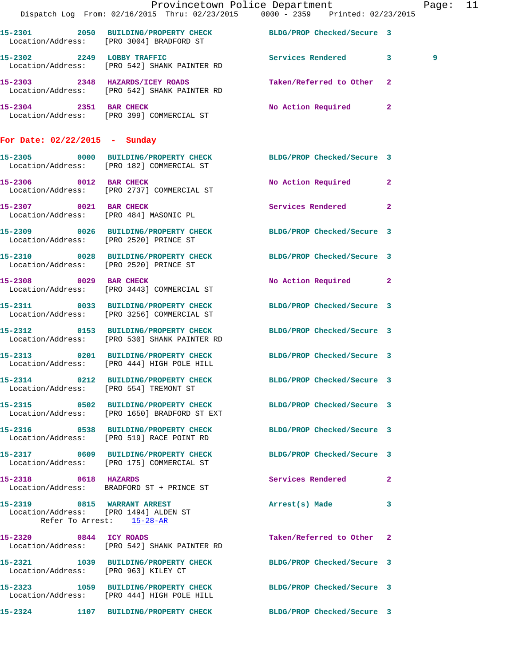|                                                                                                                 | Dispatch Log From: 02/16/2015 Thru: 02/23/2015 0000 - 2359 Printed: 02/23/2015 | Provincetown Police Department |                            |                           | Page: 11 |  |
|-----------------------------------------------------------------------------------------------------------------|--------------------------------------------------------------------------------|--------------------------------|----------------------------|---------------------------|----------|--|
|                                                                                                                 |                                                                                |                                |                            |                           |          |  |
| 15-2301 2050 BUILDING/PROPERTY CHECK BLDG/PROP Checked/Secure 3<br>Location/Address: [PRO 3004] BRADFORD ST     |                                                                                |                                |                            |                           |          |  |
| 15-2302 2249 LOBBY TRAFFIC Services Rendered 3<br>Location/Address: [PRO 542] SHANK PAINTER RD                  |                                                                                |                                |                            |                           | 9        |  |
| 15-2303 2348 HAZARDS/ICEY ROADS<br>Location/Address: [PRO 542] SHANK PAINTER RD                                 |                                                                                |                                | Taken/Referred to Other 2  |                           |          |  |
| 15-2304 2351 BAR CHECK<br>Location/Address: [PRO 399] COMMERCIAL ST                                             |                                                                                |                                | No Action Required 2       |                           |          |  |
| For Date: $02/22/2015$ - Sunday                                                                                 |                                                                                |                                |                            |                           |          |  |
| 15-2305 0000 BUILDING/PROPERTY CHECK BLDG/PROP Checked/Secure 3<br>Location/Address: [PRO 182] COMMERCIAL ST    |                                                                                |                                |                            |                           |          |  |
| 15-2306 0012 BAR CHECK<br>Location/Address: [PRO 2737] COMMERCIAL ST                                            |                                                                                |                                |                            | No Action Required 2      |          |  |
| 15-2307 0021 BAR CHECK<br>Location/Address: [PRO 484] MASONIC PL                                                |                                                                                |                                | Services Rendered 2        |                           |          |  |
| 15-2309 0026 BUILDING/PROPERTY CHECK BLDG/PROP Checked/Secure 3<br>Location/Address: [PRO 2520] PRINCE ST       |                                                                                |                                |                            |                           |          |  |
| 15-2310 0028 BUILDING/PROPERTY CHECK BLDG/PROP Checked/Secure 3<br>Location/Address: [PRO 2520] PRINCE ST       |                                                                                |                                |                            |                           |          |  |
| 15-2308 0029 BAR CHECK<br>Location/Address: [PRO 3443] COMMERCIAL ST                                            |                                                                                |                                |                            | No Action Required 2      |          |  |
| 15-2311 0033 BUILDING/PROPERTY CHECK BLDG/PROP Checked/Secure 3<br>Location/Address: [PRO 3256] COMMERCIAL ST   |                                                                                |                                |                            |                           |          |  |
| 15-2312 0153 BUILDING/PROPERTY CHECK BLDG/PROP Checked/Secure 3<br>Location/Address: [PRO 530] SHANK PAINTER RD |                                                                                |                                |                            |                           |          |  |
| 15-2313 0201 BUILDING/PROPERTY CHECK BLDG/PROP Checked/Secure 3<br>Location/Address: [PRO 444] HIGH POLE HILL   |                                                                                |                                |                            |                           |          |  |
| 15-2314 0212 BUILDING/PROPERTY CHECK BLDG/PROP Checked/Secure 3<br>Location/Address: [PRO 554] TREMONT ST       |                                                                                |                                |                            |                           |          |  |
| 15-2315 0502 BUILDING/PROPERTY CHECK BLDG/PROP Checked/Secure 3<br>Location/Address: [PRO 1650] BRADFORD ST EXT |                                                                                |                                |                            |                           |          |  |
| 15-2316 0538 BUILDING/PROPERTY CHECK<br>Location/Address: [PRO 519] RACE POINT RD                               |                                                                                |                                | BLDG/PROP Checked/Secure 3 |                           |          |  |
| 15-2317 0609 BUILDING/PROPERTY CHECK BLDG/PROP Checked/Secure 3<br>Location/Address: [PRO 175] COMMERCIAL ST    |                                                                                |                                |                            |                           |          |  |
| 15-2318 0618 HAZARDS<br>Location/Address: BRADFORD ST + PRINCE ST                                               |                                                                                |                                | <b>Services Rendered</b> 2 |                           |          |  |
| 15-2319 0815 WARRANT ARREST<br>Location/Address: [PRO 1494] ALDEN ST                                            | Refer To Arrest: 15-28-AR                                                      |                                | Arrest(s) Made 3           |                           |          |  |
| 15-2320 0844 ICY ROADS<br>Location/Address: [PRO 542] SHANK PAINTER RD                                          |                                                                                |                                |                            | Taken/Referred to Other 2 |          |  |
| 15-2321 1039 BUILDING/PROPERTY CHECK BLDG/PROP Checked/Secure 3<br>Location/Address: [PRO 963] KILEY CT         |                                                                                |                                |                            |                           |          |  |
| 15-2323 1059 BUILDING/PROPERTY CHECK BLDG/PROP Checked/Secure 3<br>Location/Address: [PRO 444] HIGH POLE HILL   |                                                                                |                                |                            |                           |          |  |
| 15-2324 1107 BUILDING/PROPERTY CHECK BLDG/PROP Checked/Secure 3                                                 |                                                                                |                                |                            |                           |          |  |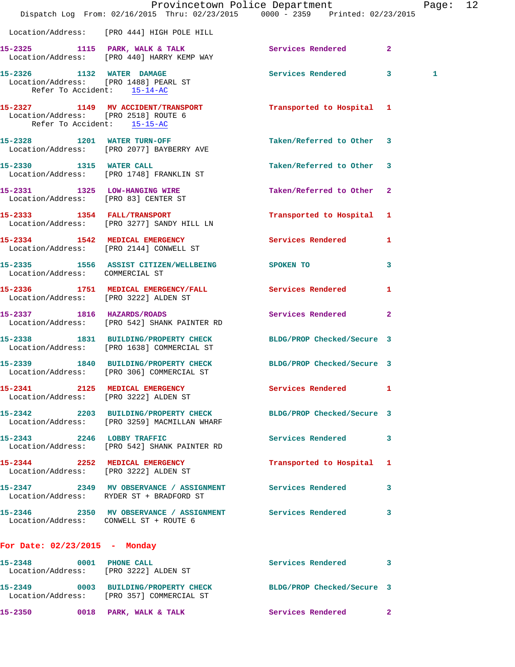|                                                                     | Dispatch Log From: 02/16/2015 Thru: 02/23/2015 0000 - 2359 Printed: 02/23/2015                                  | Provincetown Police Department |              | Page: 12 |  |
|---------------------------------------------------------------------|-----------------------------------------------------------------------------------------------------------------|--------------------------------|--------------|----------|--|
|                                                                     | Location/Address: [PRO 444] HIGH POLE HILL                                                                      |                                |              |          |  |
|                                                                     | 15-2325 1115 PARK, WALK & TALK 6 Services Rendered 2<br>Location/Address: [PRO 440] HARRY KEMP WAY              |                                |              |          |  |
| Refer To Accident: 15-14-AC                                         | 15-2326 1132 WATER DAMAGE<br>Location/Address: [PRO 1488] PEARL ST                                              | Services Rendered 3            |              | 1        |  |
| Location/Address: [PRO 2518] ROUTE 6<br>Refer To Accident: 15-15-AC | 15-2327 1149 MV ACCIDENT/TRANSPORT Transported to Hospital 1                                                    |                                |              |          |  |
|                                                                     | 15-2328 1201 WATER TURN-OFF<br>Location/Address: [PRO 2077] BAYBERRY AVE                                        | Taken/Referred to Other 3      |              |          |  |
|                                                                     | 15-2330 1315 WATER CALL<br>Location/Address: [PRO 1748] FRANKLIN ST                                             | Taken/Referred to Other 3      |              |          |  |
|                                                                     | 15-2331 1325 LOW-HANGING WIRE<br>Location/Address: [PRO 83] CENTER ST                                           | Taken/Referred to Other 2      |              |          |  |
|                                                                     | 15-2333 1354 FALL/TRANSPORT<br>Location/Address: [PRO 3277] SANDY HILL LN                                       | Transported to Hospital 1      |              |          |  |
|                                                                     | 15-2334 1542 MEDICAL EMERGENCY<br>Location/Address: [PRO 2144] CONWELL ST                                       | Services Rendered 1            |              |          |  |
| Location/Address: COMMERCIAL ST                                     | 15-2335 1556 ASSIST CITIZEN/WELLBEING SPOKEN TO                                                                 |                                | 3            |          |  |
| Location/Address: [PRO 3222] ALDEN ST                               | 15-2336 1751 MEDICAL EMERGENCY/FALL Services Rendered                                                           |                                | 1            |          |  |
|                                                                     | 15-2337 1816 HAZARDS/ROADS<br>Location/Address: [PRO 542] SHANK PAINTER RD                                      | Services Rendered              | $\mathbf{2}$ |          |  |
|                                                                     | 15-2338 1831 BUILDING/PROPERTY CHECK BLDG/PROP Checked/Secure 3<br>Location/Address: [PRO 1638] COMMERCIAL ST   |                                |              |          |  |
|                                                                     | 15-2339 1840 BUILDING/PROPERTY CHECK BLDG/PROP Checked/Secure 3<br>Location/Address: [PRO 306] COMMERCIAL ST    |                                |              |          |  |
|                                                                     | 15-2341 2125 MEDICAL EMERGENCY<br>Location/Address: [PRO 3222] ALDEN ST                                         | Services Rendered 1            |              |          |  |
|                                                                     | 15-2342 2203 BUILDING/PROPERTY CHECK BLDG/PROP Checked/Secure 3<br>Location/Address: [PRO 3259] MACMILLAN WHARF |                                |              |          |  |
|                                                                     | 15-2343 2246 LOBBY TRAFFIC<br>Location/Address: [PRO 542] SHANK PAINTER RD                                      | Services Rendered 3            |              |          |  |
|                                                                     | 15-2344 2252 MEDICAL EMERGENCY<br>Location/Address: [PRO 3222] ALDEN ST                                         | Transported to Hospital 1      |              |          |  |
|                                                                     | 15-2347 2349 MV OBSERVANCE / ASSIGNMENT Services Rendered 3<br>Location/Address: RYDER ST + BRADFORD ST         |                                |              |          |  |
|                                                                     | 15-2346 2350 MV OBSERVANCE / ASSIGNMENT Services Rendered 3<br>Location/Address: CONWELL ST + ROUTE 6           |                                |              |          |  |
| For Date: 02/23/2015 - Monday                                       |                                                                                                                 |                                |              |          |  |
|                                                                     | 15-2348 0001 PHONE CALL<br>Location/Address: [PRO 3222] ALDEN ST                                                | Services Rendered 3            |              |          |  |
|                                                                     | 15-2349 0003 BUILDING/PROPERTY CHECK BLDG/PROP Checked/Secure 3<br>Location/Address: [PRO 357] COMMERCIAL ST    |                                |              |          |  |
|                                                                     | 15-2350 0018 PARK, WALK & TALK                                                                                  | Services Rendered 2            |              |          |  |